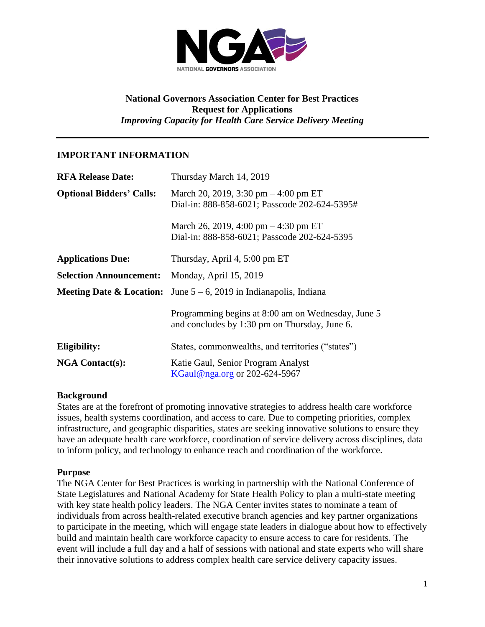

### **National Governors Association Center for Best Practices Request for Applications** *Improving Capacity for Health Care Service Delivery Meeting*

### **IMPORTANT INFORMATION**

| <b>RFA Release Date:</b>        | Thursday March 14, 2019                                                                             |
|---------------------------------|-----------------------------------------------------------------------------------------------------|
| <b>Optional Bidders' Calls:</b> | March 20, 2019, 3:30 pm $-4:00$ pm ET<br>Dial-in: 888-858-6021; Passcode 202-624-5395#              |
|                                 | March 26, 2019, 4:00 pm $-4:30$ pm ET<br>Dial-in: 888-858-6021; Passcode 202-624-5395               |
| <b>Applications Due:</b>        | Thursday, April 4, 5:00 pm ET                                                                       |
| <b>Selection Announcement:</b>  | Monday, April 15, 2019                                                                              |
|                                 | <b>Meeting Date &amp; Location:</b> June $5-6$ , 2019 in Indianapolis, Indiana                      |
|                                 | Programming begins at 8:00 am on Wednesday, June 5<br>and concludes by 1:30 pm on Thursday, June 6. |
| Eligibility:                    | States, commonwealths, and territories ("states")                                                   |
| <b>NGA Contact(s):</b>          | Katie Gaul, Senior Program Analyst<br>KGaul@nga.org or 202-624-5967                                 |

#### **Background**

States are at the forefront of promoting innovative strategies to address health care workforce issues, health systems coordination, and access to care. Due to competing priorities, complex infrastructure, and geographic disparities, states are seeking innovative solutions to ensure they have an adequate health care workforce, coordination of service delivery across disciplines, data to inform policy, and technology to enhance reach and coordination of the workforce.

#### **Purpose**

The NGA Center for Best Practices is working in partnership with the National Conference of State Legislatures and National Academy for State Health Policy to plan a multi-state meeting with key state health policy leaders. The NGA Center invites states to nominate a team of individuals from across health-related executive branch agencies and key partner organizations to participate in the meeting, which will engage state leaders in dialogue about how to effectively build and maintain health care workforce capacity to ensure access to care for residents. The event will include a full day and a half of sessions with national and state experts who will share their innovative solutions to address complex health care service delivery capacity issues.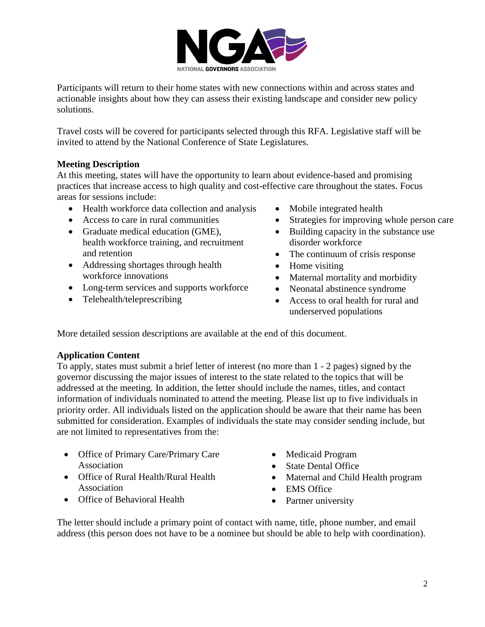

Participants will return to their home states with new connections within and across states and actionable insights about how they can assess their existing landscape and consider new policy solutions.

Travel costs will be covered for participants selected through this RFA. Legislative staff will be invited to attend by the National Conference of State Legislatures.

## **Meeting Description**

At this meeting, states will have the opportunity to learn about evidence-based and promising practices that increase access to high quality and cost-effective care throughout the states. Focus areas for sessions include:

- Health workforce data collection and analysis
- Access to care in rural communities
- Graduate medical education (GME), health workforce training, and recruitment and retention
- Addressing shortages through health workforce innovations
- Long-term services and supports workforce
- Telehealth/teleprescribing
- Mobile integrated health
- Strategies for improving whole person care
- Building capacity in the substance use disorder workforce
- The continuum of crisis response
- Home visiting
- Maternal mortality and morbidity
- Neonatal abstinence syndrome
- Access to oral health for rural and underserved populations

More detailed session descriptions are available at the end of this document.

# **Application Content**

To apply, states must submit a brief letter of interest (no more than 1 - 2 pages) signed by the governor discussing the major issues of interest to the state related to the topics that will be addressed at the meeting. In addition, the letter should include the names, titles, and contact information of individuals nominated to attend the meeting. Please list up to five individuals in priority order. All individuals listed on the application should be aware that their name has been submitted for consideration. Examples of individuals the state may consider sending include, but are not limited to representatives from the:

- Office of Primary Care/Primary Care Association
- Office of Rural Health/Rural Health Association
- Office of Behavioral Health
- Medicaid Program
- State Dental Office
- Maternal and Child Health program
- EMS Office
- Partner university

The letter should include a primary point of contact with name, title, phone number, and email address (this person does not have to be a nominee but should be able to help with coordination).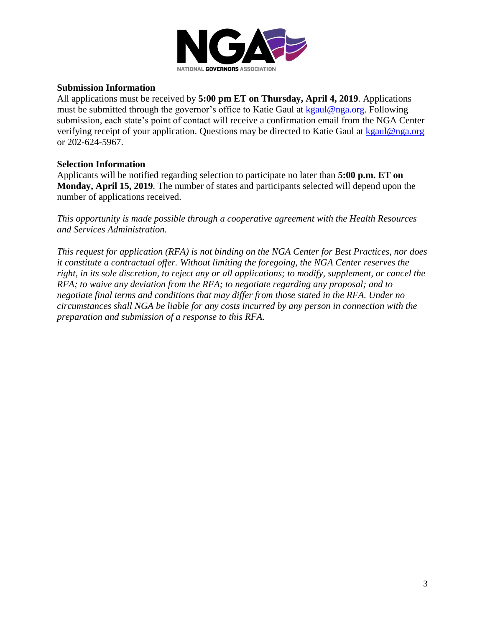

#### **Submission Information**

All applications must be received by **5:00 pm ET on Thursday, April 4, 2019**. Applications must be submitted through the governor's office to Katie Gaul at [kgaul@nga.org.](mailto:kgaul@nga.org) Following submission, each state's point of contact will receive a confirmation email from the NGA Center verifying receipt of your application. Questions may be directed to Katie Gaul at [kgaul@nga.org](mailto:kgaul@nga.org) or 202-624-5967.

### **Selection Information**

Applicants will be notified regarding selection to participate no later than **5:00 p.m. ET on Monday, April 15, 2019**. The number of states and participants selected will depend upon the number of applications received.

*This opportunity is made possible through a cooperative agreement with the Health Resources and Services Administration.* 

*This request for application (RFA) is not binding on the NGA Center for Best Practices, nor does it constitute a contractual offer. Without limiting the foregoing, the NGA Center reserves the right, in its sole discretion, to reject any or all applications; to modify, supplement, or cancel the RFA; to waive any deviation from the RFA; to negotiate regarding any proposal; and to negotiate final terms and conditions that may differ from those stated in the RFA. Under no circumstances shall NGA be liable for any costs incurred by any person in connection with the preparation and submission of a response to this RFA.*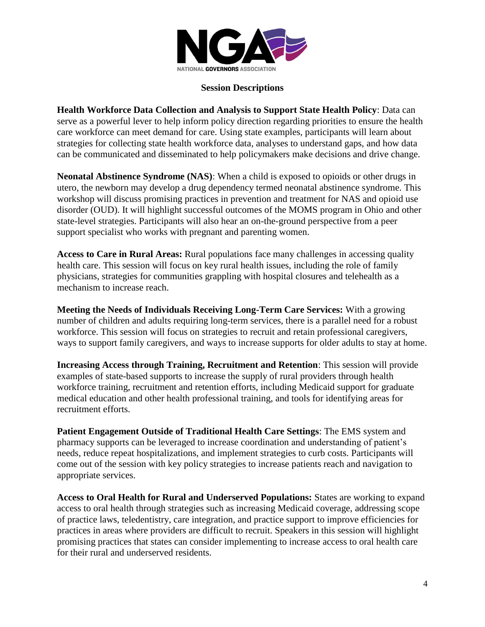

#### **Session Descriptions**

**Health Workforce Data Collection and Analysis to Support State Health Policy**: Data can serve as a powerful lever to help inform policy direction regarding priorities to ensure the health care workforce can meet demand for care. Using state examples, participants will learn about strategies for collecting state health workforce data, analyses to understand gaps, and how data can be communicated and disseminated to help policymakers make decisions and drive change.

**Neonatal Abstinence Syndrome (NAS)**: When a child is exposed to opioids or other drugs in utero, the newborn may develop a drug dependency termed neonatal abstinence syndrome. This workshop will discuss promising practices in prevention and treatment for NAS and opioid use disorder (OUD). It will highlight successful outcomes of the MOMS program in Ohio and other state-level strategies. Participants will also hear an on-the-ground perspective from a peer support specialist who works with pregnant and parenting women.

**Access to Care in Rural Areas:** Rural populations face many challenges in accessing quality health care. This session will focus on key rural health issues, including the role of family physicians, strategies for communities grappling with hospital closures and telehealth as a mechanism to increase reach.

**Meeting the Needs of Individuals Receiving Long-Term Care Services:** With a growing number of children and adults requiring long-term services, there is a parallel need for a robust workforce. This session will focus on strategies to recruit and retain professional caregivers, ways to support family caregivers, and ways to increase supports for older adults to stay at home.

**Increasing Access through Training, Recruitment and Retention**: This session will provide examples of state-based supports to increase the supply of rural providers through health workforce training, recruitment and retention efforts, including Medicaid support for graduate medical education and other health professional training, and tools for identifying areas for recruitment efforts.

**Patient Engagement Outside of Traditional Health Care Settings**: The EMS system and pharmacy supports can be leveraged to increase coordination and understanding of patient's needs, reduce repeat hospitalizations, and implement strategies to curb costs. Participants will come out of the session with key policy strategies to increase patients reach and navigation to appropriate services.

**Access to Oral Health for Rural and Underserved Populations:** States are working to expand access to oral health through strategies such as increasing Medicaid coverage, addressing scope of practice laws, teledentistry, care integration, and practice support to improve efficiencies for practices in areas where providers are difficult to recruit. Speakers in this session will highlight promising practices that states can consider implementing to increase access to oral health care for their rural and underserved residents.